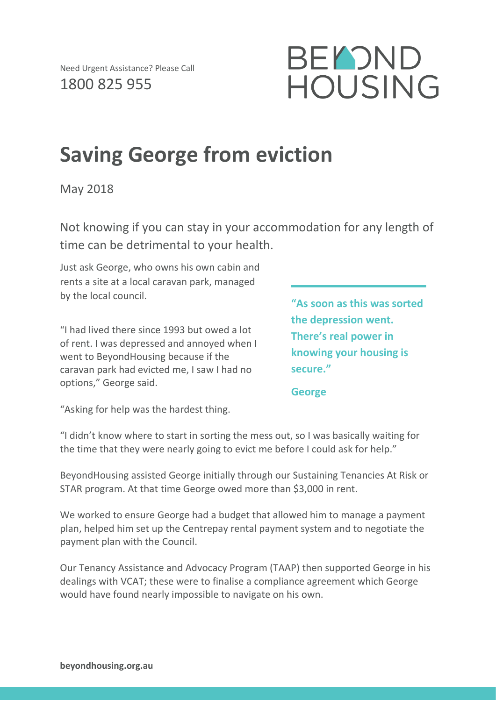

## **Saving George from eviction**

May 2018

Not knowing if you can stay in your accommodation for any length of time can be detrimental to your health.

Just ask George, who owns his own cabin and rents a site at a local caravan park, managed by the local council.

"I had lived there since 1993 but owed a lot of rent. I was depressed and annoyed when I went to BeyondHousing because if the caravan park had evicted me, I saw I had no options," George said.

**"As soon as this was sorted the depression went. There's real power in knowing your housing is secure."**

**George**

"Asking for help was the hardest thing.

"I didn't know where to start in sorting the mess out, so I was basically waiting for the time that they were nearly going to evict me before I could ask for help."

BeyondHousing assisted George initially through our Sustaining Tenancies At Risk or STAR program. At that time George owed more than \$3,000 in rent.

We worked to ensure George had a budget that allowed him to manage a payment plan, helped him set up the Centrepay rental payment system and to negotiate the payment plan with the Council.

Our Tenancy Assistance and Advocacy Program (TAAP) then supported George in his dealings with VCAT; these were to finalise a compliance agreement which George would have found nearly impossible to navigate on his own.